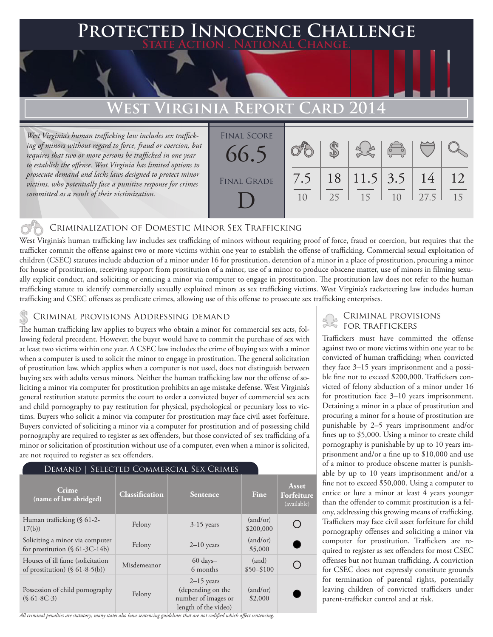## **PTED INNOCENCE CHALLENGE State Action . National Change.**

# **West Virginia Report Card 2014**

*West Virginia's human trafficking law includes sex trafficking of minors without regard to force, fraud or coercion, but requires that two or more persons be trafficked in one year to establish the offense. West Virginia has limited options to prosecute demand and lacks laws designed to protect minor victims, who potentially face a punitive response for crimes committed as a result of their victimization.*



### Criminalization of Domestic Minor Sex Trafficking

West Virginia's human trafficking law includes sex trafficking of minors without requiring proof of force, fraud or coercion, but requires that the trafficker commit the offense against two or more victims within one year to establish the offense of trafficking. Commercial sexual exploitation of children (CSEC) statutes include abduction of a minor under 16 for prostitution, detention of a minor in a place of prostitution, procuring a minor for house of prostitution, receiving support from prostitution of a minor, use of a minor to produce obscene matter, use of minors in filming sexually explicit conduct, and soliciting or enticing a minor via computer to engage in prostitution. The prostitution law does not refer to the human trafficking statute to identify commercially sexually exploited minors as sex trafficking victims. West Virginia's racketeering law includes human trafficking and CSEC offenses as predicate crimes, allowing use of this offense to prosecute sex trafficking enterprises.

The human trafficking law applies to buyers who obtain a minor for commercial sex acts, following federal precedent. However, the buyer would have to commit the purchase of sex with at least two victims within one year. A CSEC law includes the crime of buying sex with a minor when a computer is used to solicit the minor to engage in prostitution. The general solicitation of prostitution law, which applies when a computer is not used, does not distinguish between buying sex with adults versus minors. Neither the human trafficking law nor the offense of soliciting a minor via computer for prostitution prohibits an age mistake defense. West Virginia's general restitution statute permits the court to order a convicted buyer of commercial sex acts and child pornography to pay restitution for physical, psychological or pecuniary loss to victims. Buyers who solicit a minor via computer for prostitution may face civil asset forfeiture. Buyers convicted of soliciting a minor via a computer for prostitution and of possessing child pornography are required to register as sex offenders, but those convicted of sex trafficking of a minor or solicitation of prostitution without use of a computer, even when a minor is solicited, are not required to register as sex offenders.

#### Demand | Selected Commercial Sex Crimes

| Crime<br>(name of law abridged)                                       | Classification | Sentence                                                                         | Fine                  | Asset<br>Forfeiture<br>(available) |
|-----------------------------------------------------------------------|----------------|----------------------------------------------------------------------------------|-----------------------|------------------------------------|
| Human trafficking (§ 61-2-<br>17(b)                                   | Felony         | $3-15$ years                                                                     | (and/or)<br>\$200,000 |                                    |
| Soliciting a minor via computer<br>for prostitution $(\S 61-3C-14b)$  | Felony         | $2-10$ years                                                                     | (and/or)<br>\$5,000   |                                    |
| Houses of ill fame (solicitation<br>of prostitution) $(\S 61-8-5(b))$ | Misdemeanor    | $60 \text{ days} -$<br>6 months                                                  | (and)<br>$$50 - $100$ |                                    |
| Possession of child pornography<br>$(S61-8C-3)$                       | Felony         | $2-15$ years<br>(depending on the<br>number of images or<br>length of the video) | (and/or)<br>\$2,000   |                                    |

*All criminal penalties are statutory; many states also have sentencing guidelines that are not codified which affect sentencing.* 

# CRIMINAL PROVISIONS ADDRESSING DEMAND<br>The human trafficking law applies to huvers who obtain a minor for commercial sex acts, folls FOR TRAFFICKERS

Traffickers must have committed the offense against two or more victims within one year to be convicted of human trafficking; when convicted they face 3–15 years imprisonment and a possible fine not to exceed \$200,000. Traffickers convicted of felony abduction of a minor under 16 for prostitution face 3–10 years imprisonment. Detaining a minor in a place of prostitution and procuring a minor for a house of prostitution are punishable by 2–5 years imprisonment and/or fines up to \$5,000. Using a minor to create child pornography is punishable by up to 10 years imprisonment and/or a fine up to \$10,000 and use of a minor to produce obscene matter is punishable by up to 10 years imprisonment and/or a fine not to exceed \$50,000. Using a computer to entice or lure a minor at least 4 years younger than the offender to commit prostitution is a felony, addressing this growing means of trafficking. Traffickers may face civil asset forfeiture for child pornography offenses and soliciting a minor via computer for prostitution. Traffickers are required to register as sex offenders for most CSEC offenses but not human trafficking. A conviction for CSEC does not expressly constitute grounds for termination of parental rights, potentially leaving children of convicted traffickers under parent-trafficker control and at risk.